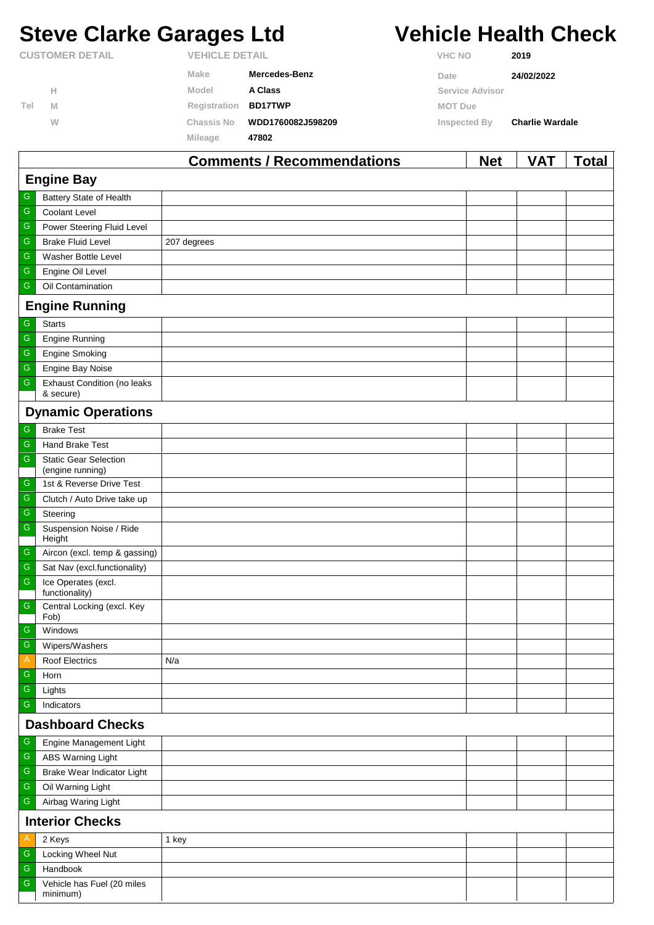# **Steve Clarke Garages Ltd Vehicle Health Check**

**Inspected By Charlie Wardale**

**CUSTOMER DETAIL VEHICLE DETAIL**

**H**

**M W**

minimum)

**Tel**

**VHC NO 2019**

**Service Advisor**

**MOT Due**

| Make | <b>Mercedes-Benz</b> | Date | 24/02/2022 |
|------|----------------------|------|------------|
|      |                      |      |            |

| Model        | A Class        |
|--------------|----------------|
| Registration | <b>BD17TWP</b> |

**Chassis No WDD1760082J598209**

 $Mileage$ 

| 47802 |  |  |
|-------|--|--|
|       |  |  |

|               |                                                 | <b>Comments / Recommendations</b> | <b>Net</b> | <b>VAT</b> | <b>Total</b> |  |  |  |
|---------------|-------------------------------------------------|-----------------------------------|------------|------------|--------------|--|--|--|
|               | <b>Engine Bay</b>                               |                                   |            |            |              |  |  |  |
| G             | Battery State of Health                         |                                   |            |            |              |  |  |  |
| ${\mathsf G}$ | Coolant Level                                   |                                   |            |            |              |  |  |  |
| ${\mathsf G}$ | Power Steering Fluid Level                      |                                   |            |            |              |  |  |  |
| ${\mathsf G}$ | <b>Brake Fluid Level</b>                        | 207 degrees                       |            |            |              |  |  |  |
| ${\mathsf G}$ | Washer Bottle Level                             |                                   |            |            |              |  |  |  |
| ${\mathsf G}$ | Engine Oil Level                                |                                   |            |            |              |  |  |  |
| G             | Oil Contamination                               |                                   |            |            |              |  |  |  |
|               | <b>Engine Running</b>                           |                                   |            |            |              |  |  |  |
| G             | <b>Starts</b>                                   |                                   |            |            |              |  |  |  |
| G             | <b>Engine Running</b>                           |                                   |            |            |              |  |  |  |
| ${\mathsf G}$ | <b>Engine Smoking</b>                           |                                   |            |            |              |  |  |  |
| ${\mathbb G}$ | Engine Bay Noise                                |                                   |            |            |              |  |  |  |
| ${\mathsf G}$ | <b>Exhaust Condition (no leaks</b><br>& secure) |                                   |            |            |              |  |  |  |
|               | <b>Dynamic Operations</b>                       |                                   |            |            |              |  |  |  |
| G             | <b>Brake Test</b>                               |                                   |            |            |              |  |  |  |
| G             | <b>Hand Brake Test</b>                          |                                   |            |            |              |  |  |  |
| ${\mathsf G}$ | <b>Static Gear Selection</b>                    |                                   |            |            |              |  |  |  |
|               | (engine running)                                |                                   |            |            |              |  |  |  |
| $\mathsf G$   | 1st & Reverse Drive Test                        |                                   |            |            |              |  |  |  |
| ${\mathsf G}$ | Clutch / Auto Drive take up                     |                                   |            |            |              |  |  |  |
| ${\mathsf G}$ | Steering                                        |                                   |            |            |              |  |  |  |
| ${\mathsf G}$ | Suspension Noise / Ride<br>Height               |                                   |            |            |              |  |  |  |
| G             | Aircon (excl. temp & gassing)                   |                                   |            |            |              |  |  |  |
| ${\mathsf G}$ | Sat Nav (excl.functionality)                    |                                   |            |            |              |  |  |  |
| G             | Ice Operates (excl.<br>functionality)           |                                   |            |            |              |  |  |  |
| ${\mathsf G}$ | Central Locking (excl. Key<br>Fob)              |                                   |            |            |              |  |  |  |
| $\mathsf{G}$  | Windows                                         |                                   |            |            |              |  |  |  |
| $\mathsf G$   | Wipers/Washers                                  |                                   |            |            |              |  |  |  |
| A             | <b>Roof Electrics</b>                           | N/a                               |            |            |              |  |  |  |
| G             | Horn                                            |                                   |            |            |              |  |  |  |
| ${\mathsf G}$ | Lights                                          |                                   |            |            |              |  |  |  |
| ${\mathsf G}$ | Indicators                                      |                                   |            |            |              |  |  |  |
|               | <b>Dashboard Checks</b>                         |                                   |            |            |              |  |  |  |
| ${\mathbb G}$ | Engine Management Light                         |                                   |            |            |              |  |  |  |
| ${\mathsf G}$ | <b>ABS Warning Light</b>                        |                                   |            |            |              |  |  |  |
| ${\mathsf G}$ | Brake Wear Indicator Light                      |                                   |            |            |              |  |  |  |
| ${\mathbb G}$ | Oil Warning Light                               |                                   |            |            |              |  |  |  |
| ${\mathsf G}$ | Airbag Waring Light                             |                                   |            |            |              |  |  |  |
|               | <b>Interior Checks</b>                          |                                   |            |            |              |  |  |  |
| A             | 2 Keys                                          | 1 key                             |            |            |              |  |  |  |
| G             | Locking Wheel Nut                               |                                   |            |            |              |  |  |  |
| ${\mathsf G}$ | Handbook                                        |                                   |            |            |              |  |  |  |
| ${\mathsf G}$ | Vehicle has Fuel (20 miles                      |                                   |            |            |              |  |  |  |